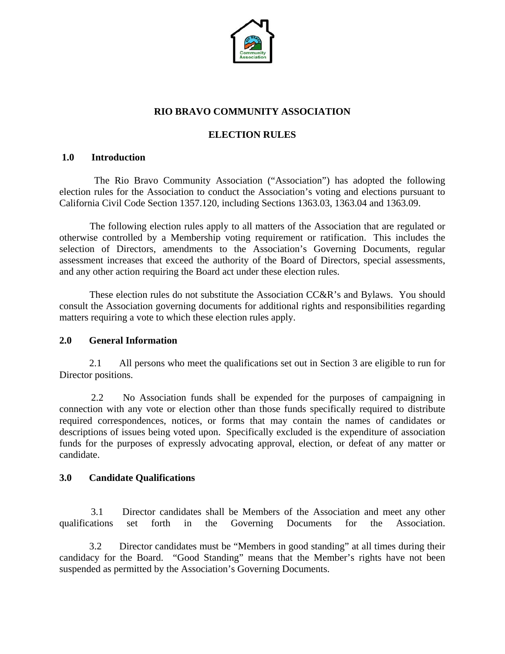

# **RIO BRAVO COMMUNITY ASSOCIATION**

# **ELECTION RULES**

#### **1.0 Introduction**

 The Rio Bravo Community Association ("Association") has adopted the following election rules for the Association to conduct the Association's voting and elections pursuant to California Civil Code Section 1357.120, including Sections 1363.03, 1363.04 and 1363.09.

 The following election rules apply to all matters of the Association that are regulated or otherwise controlled by a Membership voting requirement or ratification. This includes the selection of Directors, amendments to the Association's Governing Documents, regular assessment increases that exceed the authority of the Board of Directors, special assessments, and any other action requiring the Board act under these election rules.

 These election rules do not substitute the Association CC&R's and Bylaws. You should consult the Association governing documents for additional rights and responsibilities regarding matters requiring a vote to which these election rules apply.

#### **2.0 General Information**

 2.1 All persons who meet the qualifications set out in Section 3 are eligible to run for Director positions.

 2.2 No Association funds shall be expended for the purposes of campaigning in connection with any vote or election other than those funds specifically required to distribute required correspondences, notices, or forms that may contain the names of candidates or descriptions of issues being voted upon. Specifically excluded is the expenditure of association funds for the purposes of expressly advocating approval, election, or defeat of any matter or candidate.

#### **3.0 Candidate Qualifications**

 3.1 Director candidates shall be Members of the Association and meet any other qualifications set forth in the Governing Documents for the Association.

 3.2 Director candidates must be "Members in good standing" at all times during their candidacy for the Board. "Good Standing" means that the Member's rights have not been suspended as permitted by the Association's Governing Documents.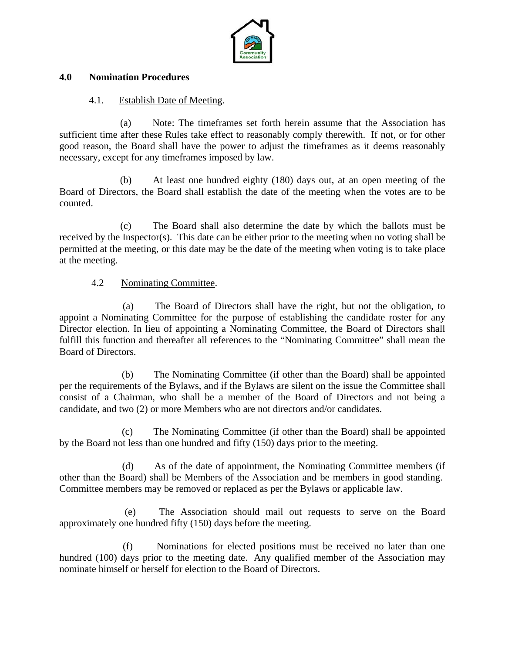

### **4.0 Nomination Procedures**

### 4.1. Establish Date of Meeting.

 (a) Note: The timeframes set forth herein assume that the Association has sufficient time after these Rules take effect to reasonably comply therewith. If not, or for other good reason, the Board shall have the power to adjust the timeframes as it deems reasonably necessary, except for any timeframes imposed by law.

 (b) At least one hundred eighty (180) days out, at an open meeting of the Board of Directors, the Board shall establish the date of the meeting when the votes are to be counted.

 (c) The Board shall also determine the date by which the ballots must be received by the Inspector(s). This date can be either prior to the meeting when no voting shall be permitted at the meeting, or this date may be the date of the meeting when voting is to take place at the meeting.

### 4.2 Nominating Committee.

 (a) The Board of Directors shall have the right, but not the obligation, to appoint a Nominating Committee for the purpose of establishing the candidate roster for any Director election. In lieu of appointing a Nominating Committee, the Board of Directors shall fulfill this function and thereafter all references to the "Nominating Committee" shall mean the Board of Directors.

 (b) The Nominating Committee (if other than the Board) shall be appointed per the requirements of the Bylaws, and if the Bylaws are silent on the issue the Committee shall consist of a Chairman, who shall be a member of the Board of Directors and not being a candidate, and two (2) or more Members who are not directors and/or candidates.

 (c) The Nominating Committee (if other than the Board) shall be appointed by the Board not less than one hundred and fifty (150) days prior to the meeting.

 (d) As of the date of appointment, the Nominating Committee members (if other than the Board) shall be Members of the Association and be members in good standing. Committee members may be removed or replaced as per the Bylaws or applicable law.

 (e) The Association should mail out requests to serve on the Board approximately one hundred fifty (150) days before the meeting.

 (f) Nominations for elected positions must be received no later than one hundred (100) days prior to the meeting date. Any qualified member of the Association may nominate himself or herself for election to the Board of Directors.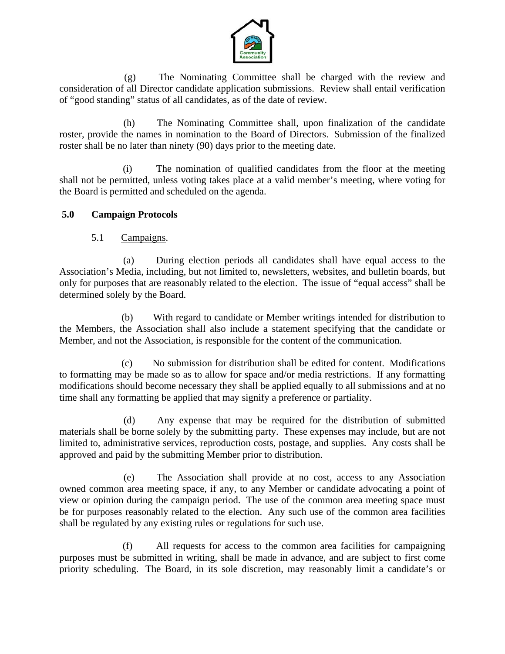

 (g) The Nominating Committee shall be charged with the review and consideration of all Director candidate application submissions. Review shall entail verification of "good standing" status of all candidates, as of the date of review.

 (h) The Nominating Committee shall, upon finalization of the candidate roster, provide the names in nomination to the Board of Directors. Submission of the finalized roster shall be no later than ninety (90) days prior to the meeting date.

 (i) The nomination of qualified candidates from the floor at the meeting shall not be permitted, unless voting takes place at a valid member's meeting, where voting for the Board is permitted and scheduled on the agenda.

# **5.0 Campaign Protocols**

5.1 Campaigns.

 (a) During election periods all candidates shall have equal access to the Association's Media, including, but not limited to, newsletters, websites, and bulletin boards, but only for purposes that are reasonably related to the election. The issue of "equal access" shall be determined solely by the Board.

 (b) With regard to candidate or Member writings intended for distribution to the Members, the Association shall also include a statement specifying that the candidate or Member, and not the Association, is responsible for the content of the communication.

 (c) No submission for distribution shall be edited for content. Modifications to formatting may be made so as to allow for space and/or media restrictions. If any formatting modifications should become necessary they shall be applied equally to all submissions and at no time shall any formatting be applied that may signify a preference or partiality.

 (d) Any expense that may be required for the distribution of submitted materials shall be borne solely by the submitting party. These expenses may include, but are not limited to, administrative services, reproduction costs, postage, and supplies. Any costs shall be approved and paid by the submitting Member prior to distribution.

 (e) The Association shall provide at no cost, access to any Association owned common area meeting space, if any, to any Member or candidate advocating a point of view or opinion during the campaign period. The use of the common area meeting space must be for purposes reasonably related to the election. Any such use of the common area facilities shall be regulated by any existing rules or regulations for such use.

 (f) All requests for access to the common area facilities for campaigning purposes must be submitted in writing, shall be made in advance, and are subject to first come priority scheduling. The Board, in its sole discretion, may reasonably limit a candidate's or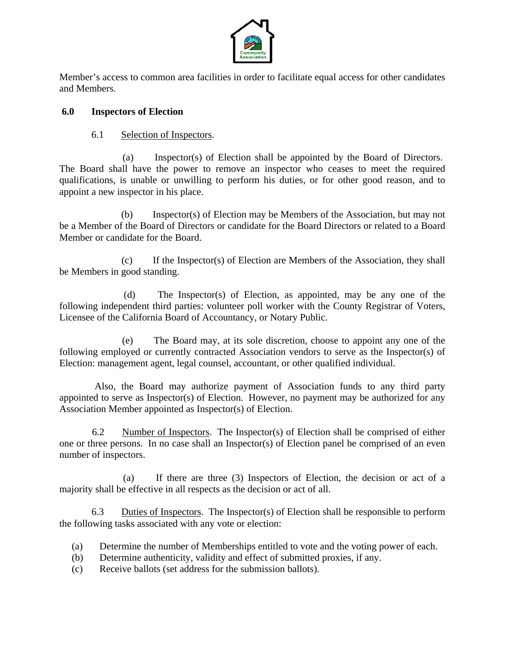

Member's access to common area facilities in order to facilitate equal access for other candidates and Members.

## **6.0 Inspectors of Election**

# 6.1 Selection of Inspectors.

 (a) Inspector(s) of Election shall be appointed by the Board of Directors. The Board shall have the power to remove an inspector who ceases to meet the required qualifications, is unable or unwilling to perform his duties, or for other good reason, and to appoint a new inspector in his place.

 (b) Inspector(s) of Election may be Members of the Association, but may not be a Member of the Board of Directors or candidate for the Board Directors or related to a Board Member or candidate for the Board.

 (c) If the Inspector(s) of Election are Members of the Association, they shall be Members in good standing.

 (d) The Inspector(s) of Election, as appointed, may be any one of the following independent third parties: volunteer poll worker with the County Registrar of Voters, Licensee of the California Board of Accountancy, or Notary Public.

 (e) The Board may, at its sole discretion, choose to appoint any one of the following employed or currently contracted Association vendors to serve as the Inspector(s) of Election: management agent, legal counsel, accountant, or other qualified individual.

 Also, the Board may authorize payment of Association funds to any third party appointed to serve as Inspector(s) of Election. However, no payment may be authorized for any Association Member appointed as Inspector(s) of Election.

 6.2 Number of Inspectors. The Inspector(s) of Election shall be comprised of either one or three persons. In no case shall an Inspector(s) of Election panel be comprised of an even number of inspectors.

 (a) If there are three (3) Inspectors of Election, the decision or act of a majority shall be effective in all respects as the decision or act of all.

 6.3 Duties of Inspectors. The Inspector(s) of Election shall be responsible to perform the following tasks associated with any vote or election:

- (a) Determine the number of Memberships entitled to vote and the voting power of each.
- (b) Determine authenticity, validity and effect of submitted proxies, if any.
- (c) Receive ballots (set address for the submission ballots).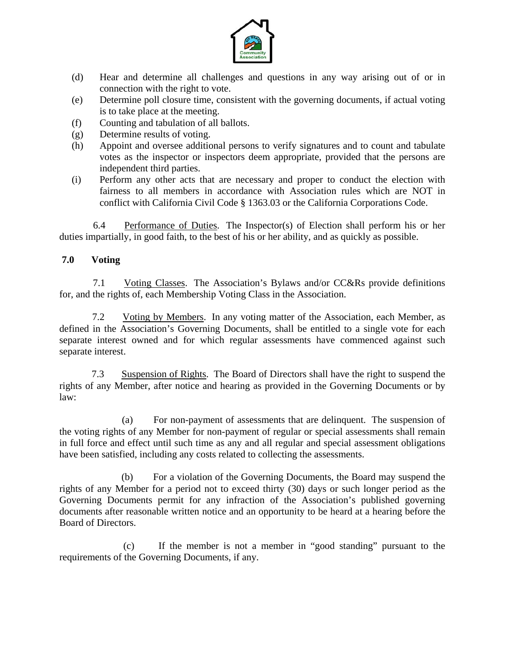

- (d) Hear and determine all challenges and questions in any way arising out of or in connection with the right to vote.
- (e) Determine poll closure time, consistent with the governing documents, if actual voting is to take place at the meeting.
- (f) Counting and tabulation of all ballots.
- (g) Determine results of voting.
- (h) Appoint and oversee additional persons to verify signatures and to count and tabulate votes as the inspector or inspectors deem appropriate, provided that the persons are independent third parties.
- (i) Perform any other acts that are necessary and proper to conduct the election with fairness to all members in accordance with Association rules which are NOT in conflict with California Civil Code § 1363.03 or the California Corporations Code.

 6.4 Performance of Duties. The Inspector(s) of Election shall perform his or her duties impartially, in good faith, to the best of his or her ability, and as quickly as possible.

## **7.0 Voting**

 7.1 Voting Classes. The Association's Bylaws and/or CC&Rs provide definitions for, and the rights of, each Membership Voting Class in the Association.

 7.2 Voting by Members. In any voting matter of the Association, each Member, as defined in the Association's Governing Documents, shall be entitled to a single vote for each separate interest owned and for which regular assessments have commenced against such separate interest.

 7.3 Suspension of Rights. The Board of Directors shall have the right to suspend the rights of any Member, after notice and hearing as provided in the Governing Documents or by law:

 (a) For non-payment of assessments that are delinquent. The suspension of the voting rights of any Member for non-payment of regular or special assessments shall remain in full force and effect until such time as any and all regular and special assessment obligations have been satisfied, including any costs related to collecting the assessments.

 (b) For a violation of the Governing Documents, the Board may suspend the rights of any Member for a period not to exceed thirty (30) days or such longer period as the Governing Documents permit for any infraction of the Association's published governing documents after reasonable written notice and an opportunity to be heard at a hearing before the Board of Directors.

 (c) If the member is not a member in "good standing" pursuant to the requirements of the Governing Documents, if any.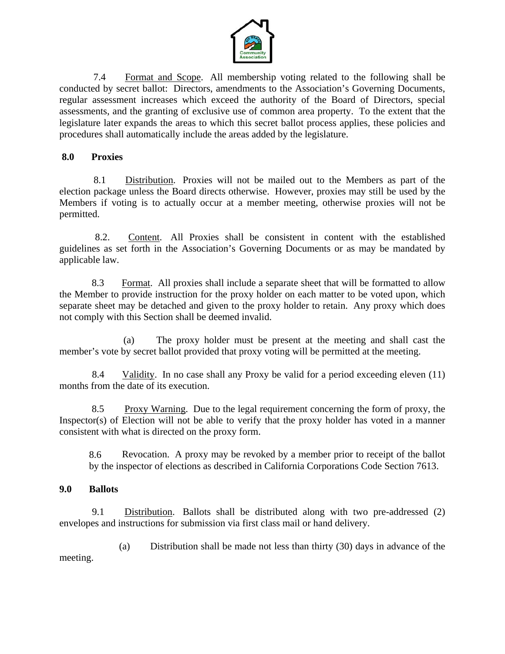

 7.4 Format and Scope. All membership voting related to the following shall be conducted by secret ballot: Directors, amendments to the Association's Governing Documents, regular assessment increases which exceed the authority of the Board of Directors, special assessments, and the granting of exclusive use of common area property. To the extent that the legislature later expands the areas to which this secret ballot process applies, these policies and procedures shall automatically include the areas added by the legislature.

## **8.0 Proxies**

 8.1 Distribution. Proxies will not be mailed out to the Members as part of the election package unless the Board directs otherwise. However, proxies may still be used by the Members if voting is to actually occur at a member meeting, otherwise proxies will not be permitted.

 8.2. Content. All Proxies shall be consistent in content with the established guidelines as set forth in the Association's Governing Documents or as may be mandated by applicable law.

 8.3 Format. All proxies shall include a separate sheet that will be formatted to allow the Member to provide instruction for the proxy holder on each matter to be voted upon, which separate sheet may be detached and given to the proxy holder to retain. Any proxy which does not comply with this Section shall be deemed invalid.

 (a) The proxy holder must be present at the meeting and shall cast the member's vote by secret ballot provided that proxy voting will be permitted at the meeting.

 8.4 Validity. In no case shall any Proxy be valid for a period exceeding eleven (11) months from the date of its execution.

 8.5 Proxy Warning. Due to the legal requirement concerning the form of proxy, the Inspector(s) of Election will not be able to verify that the proxy holder has voted in a manner consistent with what is directed on the proxy form.

8.6 Revocation. A proxy may be revoked by a member prior to receipt of the ballot by the inspector of elections as described in California Corporations Code Section 7613.

## **9.0 Ballots**

 9.1 Distribution. Ballots shall be distributed along with two pre-addressed (2) envelopes and instructions for submission via first class mail or hand delivery.

 (a) Distribution shall be made not less than thirty (30) days in advance of the meeting.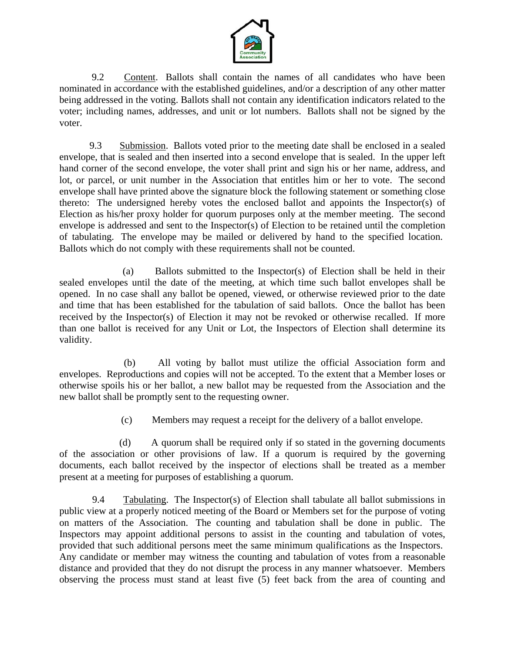

 9.2 Content. Ballots shall contain the names of all candidates who have been nominated in accordance with the established guidelines, and/or a description of any other matter being addressed in the voting. Ballots shall not contain any identification indicators related to the voter; including names, addresses, and unit or lot numbers. Ballots shall not be signed by the voter.

 9.3 Submission. Ballots voted prior to the meeting date shall be enclosed in a sealed envelope, that is sealed and then inserted into a second envelope that is sealed. In the upper left hand corner of the second envelope, the voter shall print and sign his or her name, address, and lot, or parcel, or unit number in the Association that entitles him or her to vote. The second envelope shall have printed above the signature block the following statement or something close thereto: The undersigned hereby votes the enclosed ballot and appoints the Inspector(s) of Election as his/her proxy holder for quorum purposes only at the member meeting. The second envelope is addressed and sent to the Inspector(s) of Election to be retained until the completion of tabulating. The envelope may be mailed or delivered by hand to the specified location. Ballots which do not comply with these requirements shall not be counted.

 (a) Ballots submitted to the Inspector(s) of Election shall be held in their sealed envelopes until the date of the meeting, at which time such ballot envelopes shall be opened. In no case shall any ballot be opened, viewed, or otherwise reviewed prior to the date and time that has been established for the tabulation of said ballots. Once the ballot has been received by the Inspector(s) of Election it may not be revoked or otherwise recalled. If more than one ballot is received for any Unit or Lot, the Inspectors of Election shall determine its validity.

 (b) All voting by ballot must utilize the official Association form and envelopes. Reproductions and copies will not be accepted. To the extent that a Member loses or otherwise spoils his or her ballot, a new ballot may be requested from the Association and the new ballot shall be promptly sent to the requesting owner.

(c) Members may request a receipt for the delivery of a ballot envelope.

 (d) A quorum shall be required only if so stated in the governing documents of the association or other provisions of law. If a quorum is required by the governing documents, each ballot received by the inspector of elections shall be treated as a member present at a meeting for purposes of establishing a quorum.

 9.4 Tabulating. The Inspector(s) of Election shall tabulate all ballot submissions in public view at a properly noticed meeting of the Board or Members set for the purpose of voting on matters of the Association. The counting and tabulation shall be done in public. The Inspectors may appoint additional persons to assist in the counting and tabulation of votes, provided that such additional persons meet the same minimum qualifications as the Inspectors. Any candidate or member may witness the counting and tabulation of votes from a reasonable distance and provided that they do not disrupt the process in any manner whatsoever. Members observing the process must stand at least five (5) feet back from the area of counting and